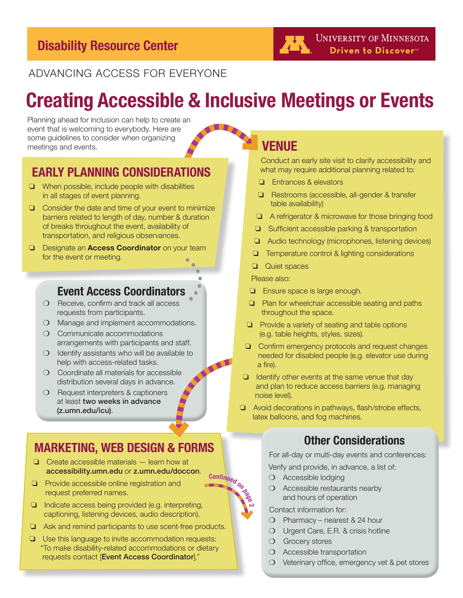#### ADVANCING ACCESS FOR EVERYONE

# **Creating Accessible & Inclusive Meetings or Events**

Planning ahead for inclusion can help to create an event that is welcoming to everybody. Here are some guidelines to consider when organizing meetings and events.

#### **EARLY PLANNING CONSIDERATIONS**

- ❏ When possible, include people with disabilities in all stages of event planning.
- ❏ Consider the date and time of your event to minimize barriers related to length of day, number & duration of breaks throughout the event, availability of transportation, and religious observances.
- ❏ Designate an **Access Coordinator** on your team for the event or meeting.

#### **Event Access Coordinators**

- ❍ Receive, confirm and track all access requests from participants.
- ❍ Manage and implement accommodations.
- ❍ Communicate accommodations arrangements with participants and staff.
- ❍ Identify assistants who will be available to help with access-related tasks.
- ❍ Coordinate all materials for accessible distribution several days in advance.
- ❍ Request interpreters & captioners at least two weeks in advance (z.umn.edu/icu).

#### **MARKETING, WEB DESIGN & FORMS**

- ❏ Create accessible materials learn how at accessibility.umn.edu or z.umn.edu/doccon.
- ❏ Provide accessible online registration and request preferred names.
- ❏ Indicate access being provided (e.g. interpreting, captioning, listening devices, audio description).
- ❏ Ask and remind participants to use scent-free products.
- ❏ Use this language to invite accommodation requests: "To make disability-related accommodations or dietary requests contact [Event Access Coordinator]."

### **VENUE**

ZX.

Conduct an early site visit to clarify accessibility and what may require additional planning related to:

- ❏ Entrances & elevators
- ❏ Restrooms (accessible, all-gender & transfer table availability)
- ❏ A refrigerator & microwave for those bringing food
- ❏ Sufficient accessible parking & transportation
- ❏ Audio technology (microphones, listening devices)
- ❏ Temperature control & lighting considerations
- ❏ Quiet spaces

Please also:

- ❏ Ensure space is large enough.
- ❏ Plan for wheelchair accessible seating and paths throughout the space.
- ❏ Provide a variety of seating and table options (e.g. table heights, styles, sizes).
- ❏ Confirm emergency protocols and request changes needed for disabled people (e.g. elevator use during a fire).
- ❏ Identify other events at the same venue that day and plan to reduce access barriers (e.g. managing noise level).
- ❏ Avoid decorations in pathways, flash/strobe effects, latex balloons, and fog machines.

#### **Other Considerations**

For all-day or multi-day events and conferences:

Verify and provide, in advance, a list of:

- ❍ Accessible lodging
- ❍ Accessible restaurants nearby and hours of operation

Contact information for:

- ❍ Pharmacy nearest & 24 hour
- ❍ Urgent Care, E.R. & crisis hotline
- O Grocery stores
- ❍ Accessible transportation
- ❍ Veterinary office, emergency vet & pet stores